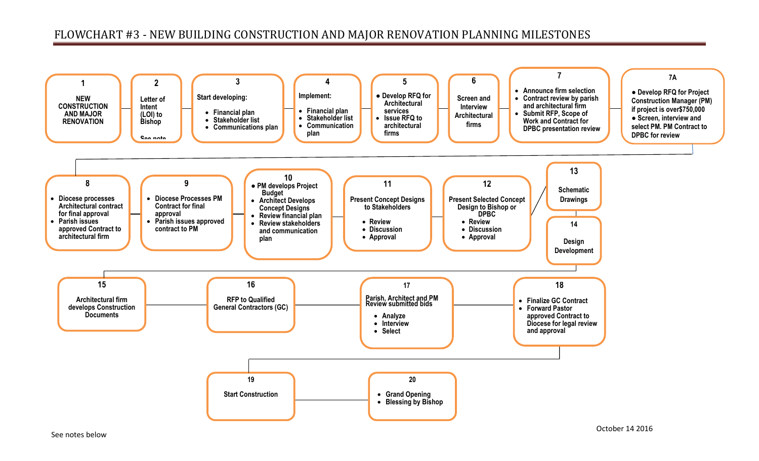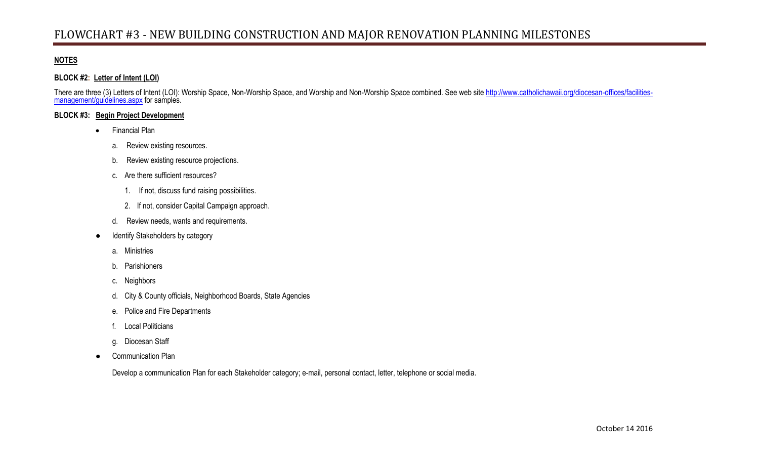## **NOTES**

## **BLOCK #2: Letter of Intent (LOI)**

There are three (3) Letters of Intent (LOI): Worship Space, Non-Worship Space, and Worship and Non-Worship Space combined. See web site [http://www.catholichawaii.org/diocesan-offices/facilities](http://www.catholichawaii.org/diocesan-offices/facilities-management/guidelines.aspx)[management/guidelines.aspx](http://www.catholichawaii.org/diocesan-offices/facilities-management/guidelines.aspx)</u> for samples.

## **BLOCK #3: Begin Project Development**

- Financial Plan
	- a. Review existing resources.
	- b. Review existing resource projections.
	- c. Are there sufficient resources?
		- 1. If not, discuss fund raising possibilities.
		- 2. If not, consider Capital Campaign approach.
	- d. Review needs, wants and requirements.
- Identify Stakeholders by category
	- a. Ministries
	- b. Parishioners
	- c. Neighbors
	- d. City & County officials, Neighborhood Boards, State Agencies
	- e. Police and Fire Departments
	- f. Local Politicians
	- g. Diocesan Staff
- Communication Plan

Develop a communication Plan for each Stakeholder category; e-mail, personal contact, letter, telephone or social media.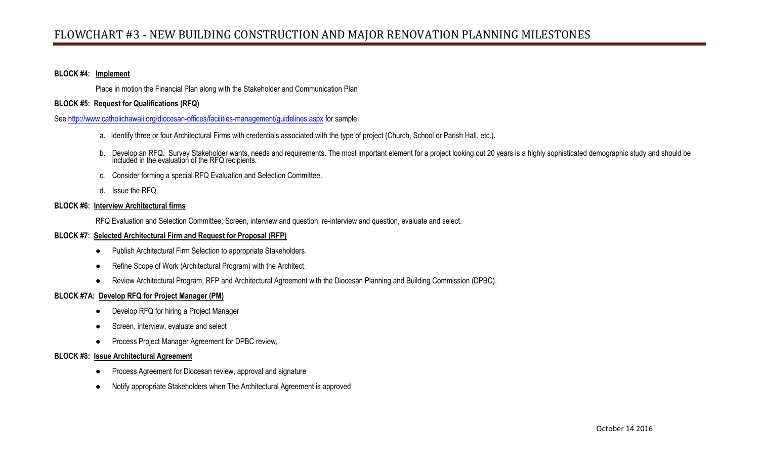## **BLOCK #4: Implement**

Place in motion the Financial Plan along with the Stakeholder and Communication Plan

## **BLOCK #5: Request for Qualifications (RFQ)**

See <http://www.catholichawaii.org/diocesan-offices/facilities-management/guidelines.aspx> for sample.

- a. Identify three or four Architectural Firms with credentials associated with the type of project (Church, School or Parish Hall, etc.).
- b. Develop an RFQ. Survey Stakeholder wants, needs and requirements. The most important element for a project looking out 20 years is a highly sophisticated demographic study and should be included in the evaluation of the RFQ recipients.
- c. Consider forming a special RFQ Evaluation and Selection Committee.
- d. Issue the RFQ.

#### **BLOCK #6: Interview Architectural firms**

RFQ Evaluation and Selection Committee; Screen, interview and question, re-interview and question, evaluate and select.

#### **BLOCK #7: Selected Architectural Firm and Request for Proposal (RFP)**

- Publish Architectural Firm Selection to appropriate Stakeholders.
- Refine Scope of Work (Architectural Program) with the Architect.
- Review Architectural Program, RFP and Architectural Agreement with the Diocesan Planning and Building Commission (DPBC).

## **BLOCK #7A: Develop RFQ for Project Manager (PM)**

- Develop RFQ for hiring a Project Manager
- Screen, interview, evaluate and select
- Process Project Manager Agreement for DPBC review,

### **BLOCK #8: Issue Architectural Agreement**

- Process Agreement for Diocesan review, approval and signature
- Notify appropriate Stakeholders when The Architectural Agreement is approved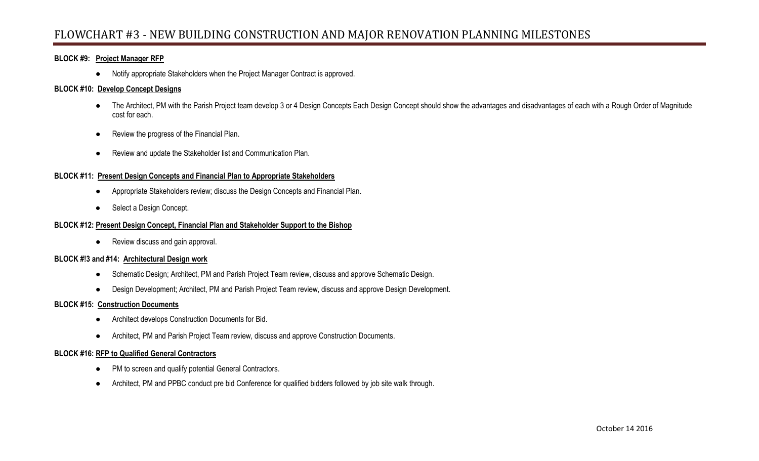## **BLOCK #9: Project Manager RFP**

● Notify appropriate Stakeholders when the Project Manager Contract is approved.

### **BLOCK #10: Develop Concept Designs**

- The Architect, PM with the Parish Project team develop 3 or 4 Design Concepts Each Design Concept should show the advantages and disadvantages of each with a Rough Order of Magnitude cost for each.
- Review the progress of the Financial Plan.
- Review and update the Stakeholder list and Communication Plan.

### **BLOCK #11: Present Design Concepts and Financial Plan to Appropriate Stakeholders**

- Appropriate Stakeholders review; discuss the Design Concepts and Financial Plan.
- Select a Design Concept.

### **BLOCK #12: Present Design Concept, Financial Plan and Stakeholder Support to the Bishop**

● Review discuss and gain approval.

## **BLOCK #!3 and #14: Architectural Design work**

- Schematic Design; Architect, PM and Parish Project Team review, discuss and approve Schematic Design.
- Design Development; Architect, PM and Parish Project Team review, discuss and approve Design Development.

## **BLOCK #15: Construction Documents**

- Architect develops Construction Documents for Bid.
- Architect, PM and Parish Project Team review, discuss and approve Construction Documents.

### **BLOCK #16: RFP to Qualified General Contractors**

- PM to screen and qualify potential General Contractors.
- Architect, PM and PPBC conduct pre bid Conference for qualified bidders followed by job site walk through.